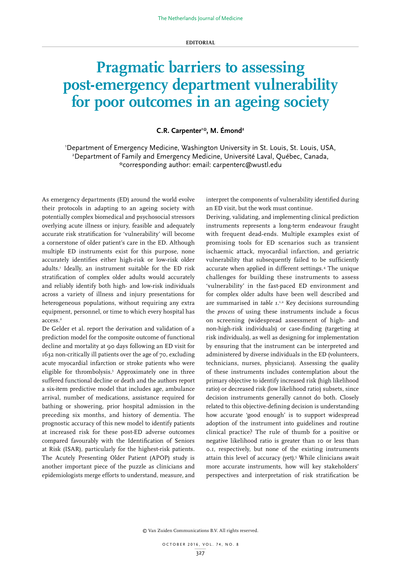## **EDITORIAL**

## **Pragmatic barriers to assessing post-emergency department vulnerability for poor outcomes in an ageing society**

## **C.R. Carpenter1 \*, M. Émond2**

1 Department of Emergency Medicine, Washington University in St. Louis, St. Louis, USA, 2 Department of Family and Emergency Medicine, Université Laval, Québec, Canada, \*corresponding author: email: carpenterc@wustl.edu

As emergency departments (ED) around the world evolve their protocols in adapting to an ageing society with potentially complex biomedical and psychosocial stressors overlying acute illness or injury, feasible and adequately accurate risk stratification for 'vulnerability' will become a cornerstone of older patient's care in the ED. Although multiple ED instruments exist for this purpose, none accurately identifies either high-risk or low-risk older adults.1 Ideally, an instrument suitable for the ED risk stratification of complex older adults would accurately and reliably identify both high- and low-risk individuals across a variety of illness and injury presentations for heterogeneous populations, without requiring any extra equipment, personnel, or time to which every hospital has access.<sup>2</sup>

De Gelder et al. report the derivation and validation of a prediction model for the composite outcome of functional decline and mortality at 90 days following an ED visit for 1632 non-critically ill patients over the age of 70, excluding acute myocardial infarction or stroke patients who were eligible for thrombolysis.3 Approximately one in three suffered functional decline or death and the authors report a six-item predictive model that includes age, ambulance arrival, number of medications, assistance required for bathing or showering, prior hospital admission in the preceding six months, and history of dementia. The prognostic accuracy of this new model to identify patients at increased risk for these post-ED adverse outcomes compared favourably with the Identification of Seniors at Risk (ISAR), particularly for the highest-risk patients. The Acutely Presenting Older Patient (APOP) study is another important piece of the puzzle as clinicians and epidemiologists merge efforts to understand, measure, and

interpret the components of vulnerability identified during an ED visit, but the work must continue.

Deriving, validating, and implementing clinical prediction instruments represents a long-term endeavour fraught with frequent dead-ends. Multiple examples exist of promising tools for ED scenarios such as transient ischaemic attack, myocardial infarction, and geriatric vulnerability that subsequently failed to be sufficiently accurate when applied in different settings.4 The unique challenges for building these instruments to assess 'vulnerability' in the fast-paced ED environment and for complex older adults have been well described and are summarised in *table 1*.<sup>1,2</sup> Key decisions surrounding the *process* of using these instruments include a focus on screening (widespread assessment of high- and non-high-risk individuals) or case-finding (targeting at risk individuals), as well as designing for implementation by ensuring that the instrument can be interpreted and administered by diverse individuals in the ED (volunteers, technicians, nurses, physicians). Assessing the *quality* of these instruments includes contemplation about the primary objective to identify increased risk (high likelihood ratio) or decreased risk (low likelihood ratio) subsets, since decision instruments generally cannot do both. Closely related to this objective-defining decision is understanding how accurate 'good enough' is to support widespread adoption of the instrument into guidelines and routine clinical practice? The rule of thumb for a positive or negative likelihood ratio is greater than 10 or less than 0.1, respectively, but none of the existing instruments attain this level of accuracy (yet).<sup>5</sup> While clinicians await more accurate instruments, how will key stakeholders' perspectives and interpretation of risk stratification be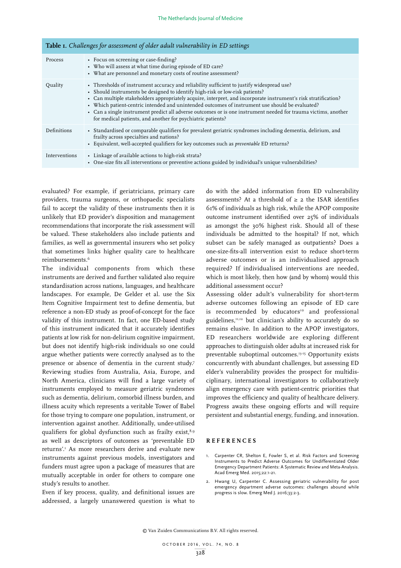| <b>Table 1.</b> Challenges for assessment of older adult vulnerability in ED settings |                                                                                                                                                                                                                                                                                                                                                                                                                                                                                                                                                                                  |
|---------------------------------------------------------------------------------------|----------------------------------------------------------------------------------------------------------------------------------------------------------------------------------------------------------------------------------------------------------------------------------------------------------------------------------------------------------------------------------------------------------------------------------------------------------------------------------------------------------------------------------------------------------------------------------|
| Process                                                                               | • Focus on screening or case-finding?<br>• Who will assess at what time during episode of ED care?<br>• What are personnel and monetary costs of routine assessment?                                                                                                                                                                                                                                                                                                                                                                                                             |
| Quality                                                                               | • Thresholds of instrument accuracy and reliability sufficient to justify widespread use?<br>• Should instruments be designed to identify high-risk or low-risk patients?<br>• Can multiple stakeholders appropriately acquire, interpret, and incorporate instrument's risk stratification?<br>• Which patient-centric intended and unintended outcomes of instrument use should be evaluated?<br>• Can a single instrument predict all adverse outcomes or is one instrument needed for trauma victims, another<br>for medical patients, and another for psychiatric patients? |
| Definitions                                                                           | • Standardised or comparable qualifiers for prevalent geriatric syndromes including dementia, delirium, and<br>frailty across specialties and nations?<br>• Equivalent, well-accepted qualifiers for key outcomes such as <i>preventable</i> ED returns?                                                                                                                                                                                                                                                                                                                         |
| Interventions                                                                         | • Linkage of available actions to high-risk strata?<br>• One-size fits all interventions or preventive actions guided by individual's unique vulnerabilities?                                                                                                                                                                                                                                                                                                                                                                                                                    |

evaluated? For example, if geriatricians, primary care providers, trauma surgeons, or orthopaedic specialists fail to accept the validity of these instruments then it is unlikely that ED provider's disposition and management recommendations that incorporate the risk assessment will be valued. These stakeholders also include patients and families, as well as governmental insurers who set policy that sometimes links higher quality care to healthcare reimbursements.6

The individual components from which these instruments are derived and further validated also require standardisation across nations, languages, and healthcare landscapes. For example, De Gelder et al. use the Six Item Cognitive Impairment test to define dementia, but reference a non-ED study as proof-of-concept for the face validity of this instrument. In fact, one ED-based study of this instrument indicated that it accurately identifies patients at low risk for non-delirium cognitive impairment, but does not identify high-risk individuals so one could argue whether patients were correctly analysed as to the presence or absence of dementia in the current study.7 Reviewing studies from Australia, Asia, Europe, and North America, clinicians will find a large variety of instruments employed to measure geriatric syndromes such as dementia, delirium, comorbid illness burden, and illness acuity which represents a veritable Tower of Babel for those trying to compare one population, instrument, or intervention against another. Additionally, under-utilised qualifiers for global dysfunction such as frailty exist, $8.9$ as well as descriptors of outcomes as 'preventable ED returns'.1 As more researchers derive and evaluate new instruments against previous models, investigators and funders must agree upon a package of measures that are mutually acceptable in order for others to compare one study's results to another.

Even if key process, quality, and definitional issues are addressed, a largely unanswered question is what to do with the added information from ED vulnerability assessments? At a threshold of  $\geq$  2 the ISAR identifies 61% of individuals as high risk, while the APOP composite outcome instrument identified over 25% of individuals as amongst the 30% highest risk. Should all of these individuals be admitted to the hospital? If not, which subset can be safely managed as outpatients? Does a one-size-fits-all intervention exist to reduce short-term adverse outcomes or is an individualised approach required? If individualised interventions are needed, which is most likely, then how (and by whom) would this additional assessment occur?

Assessing older adult's vulnerability for short-term adverse outcomes following an episode of ED care is recommended by educators<sup>10</sup> and professional guidelines,11,12 but clinician's ability to accurately do so remains elusive. In addition to the APOP investigators, ED researchers worldwide are exploring different approaches to distinguish older adults at increased risk for preventable suboptimal outcomes.13-15 Opportunity exists concurrently with abundant challenges, but assessing ED elder's vulnerability provides the prospect for multidisciplinary, international investigators to collaboratively align emergency care with patient-centric priorities that improves the efficiency and quality of healthcare delivery. Progress awaits these ongoing efforts and will require persistent and substantial energy, funding, and innovation.

## **REFERENCES**

- 1. Carpenter CR, Shelton E, Fowler S, et al. Risk Factors and Screening Instruments to Predict Adverse Outcomes for Undifferentiated Older Emergency Department Patients: A Systematic Review and Meta-Analysis. Acad Emerg Med. 2015;22:1-21.
- 2. Hwang U, Carpenter C. Assessing geriatric vulnerability for post emergency department adverse outcomes: challenges abound while progress is slow. Emerg Med J. 2016;33:2-3.

© Van Zuiden Communications B.V. All rights reserved.